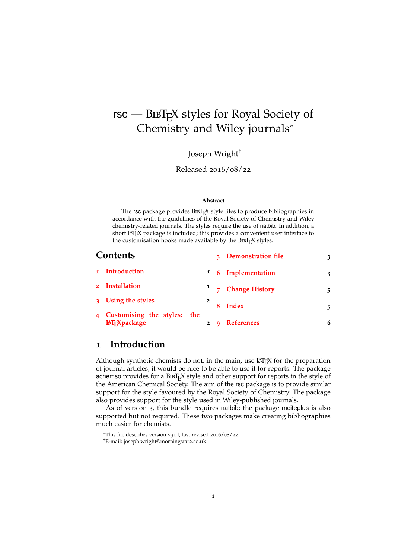# <span id="page-0-1"></span> $rsc$  –  $BIBT<sub>F</sub>X$  styles for Royal Society of Chemistry and Wiley journals<sup>∗</sup>

Joseph Wright†

Released 2016/08/22

#### **Abstract**

The rsc package provides BIBT<sub>E</sub>X style files to produce bibliographies in accordance with the guidelines of the Royal Society of Chemistry and Wiley chemistry-related journals. The styles require the use of natbib. In addition, a short LATEX package is included; this provides a convenient user interface to the customisation hooks made available by the BIBTEX styles.

|                | Contents                                       |     |  | <b>Demonstration file</b>     | 3 |
|----------------|------------------------------------------------|-----|--|-------------------------------|---|
|                | 1 Introduction                                 |     |  | <sup>1</sup> 6 Implementation | 3 |
|                | 2 Installation                                 |     |  | 7 Change History              | 5 |
|                | 3 Using the styles                             |     |  | <b>Index</b>                  | 5 |
| $\overline{4}$ | Customising the styles:<br><b>IATFXpackage</b> | the |  | <b>References</b>             | 6 |

#### <span id="page-0-0"></span>**1 Introduction**

Although synthetic chemists do not, in the main, use  $\mathbb{E}E[X]$  for the preparation of journal articles, it would be nice to be able to use it for reports. The package achemso provides for a  $BIBT<sub>F</sub>X$  style and other support for reports in the style of the American Chemical Society. The aim of the rsc package is to provide similar support for the style favoured by the Royal Society of Chemistry. The package also provides support for the style used in Wiley-published journals.

As of version 3, this bundle requires natbib; the package mciteplus is also supported but not required. These two packages make creating bibliographies much easier for chemists.

<sup>∗</sup>This file describes version v31.f, last revised 2016/08/22.

<sup>†</sup>E-mail: joseph.wright@morningstar2.co.uk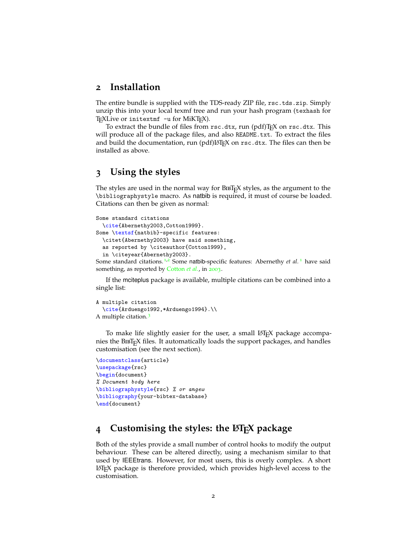#### <span id="page-1-0"></span>**2 Installation**

The entire bundle is supplied with the TDS-ready ZIP file, rsc.tds.zip. Simply unzip this into your local texmf tree and run your hash program (texhash for TEXLive or initextmf -u for MiKTEX).

To extract the bundle of files from rsc.dtx, run (pdf)TEX on rsc.dtx. This will produce all of the package files, and also README.txt. To extract the files and build the documentation, run (pdf) $ETrX$  on rsc.dtx. The files can then be installed as above.

#### <span id="page-1-1"></span>**3 Using the styles**

The styles are used in the normal way for BIBT<sub>E</sub>X styles, as the argument to the \bibliographystyle macro. As natbib is required, it must of course be loaded. Citations can then be given as normal:

```
Some standard citations
 \cite{Abernethy2003,Cotton1999}.
Some \textsf{natbib}-specific features:
  \citet{Abernethy2003} have said something,
 as reported by \citeauthor{Cotton1999},
  in \citeyear{Abernethy2003}.
```
Some standard citations.<sup>[1](#page-5-1),[2](#page-5-2)</sup> Some natbib-specific features: Abernethy *et al.*<sup>1</sup> have said something, as reported by [Cotton](#page-5-2) *et al.*, in [2003](#page-5-1).

If the mciteplus package is available, multiple citations can be combined into a single list:

```
A multiple citation
  \cite{Arduengo1992,*Arduengo1994}.\\
A multiple citation. 3
```
To make life slightly easier for the user, a small LAT<sub>E</sub>X package accompanies the BIBT<sub>E</sub>X files. It automatically loads the support packages, and handles customisation (see the next section).

```
\documentclass{article}
\usepackage{rsc}
\begin{document}
% Document body here
\bibliographystyle{rsc} % or angew
\bibliography{your-bibtex-database}
\end{document}
```
### <span id="page-1-2"></span>**4 Customising the styles: the LATEX package**

Both of the styles provide a small number of control hooks to modify the output behaviour. These can be altered directly, using a mechanism similar to that used by IEEEtrans. However, for most users, this is overly complex. A short LATEX package is therefore provided, which provides high-level access to the customisation.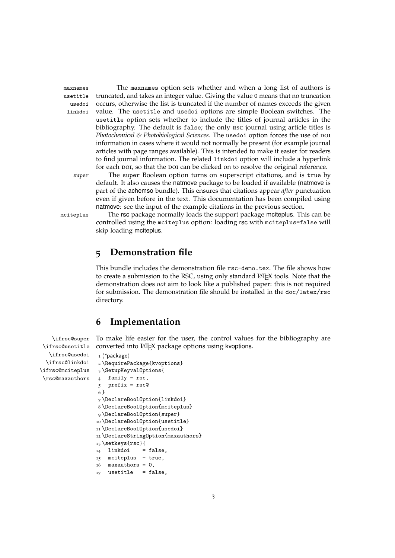usetitle usedoi linkdoi

maxnames The maxnames option sets whether and when a long list of authors is truncated, and takes an integer value. Giving the value 0 means that no truncation occurs, otherwise the list is truncated if the number of names exceeds the given value. The usetitle and usedoi options are simple Boolean switches. The usetitle option sets whether to include the titles of journal articles in the bibliography. The default is false; the only rsc journal using article titles is *Photochemical & Photobiological Sciences*. The usedoi option forces the use of poi information in cases where it would not normally be present (for example journal articles with page ranges available). This is intended to make it easier for readers to find journal information. The related linkdoi option will include a hyperlink for each poi, so that the poi can be clicked on to resolve the original reference.

super The super Boolean option turns on superscript citations, and is true by default. It also causes the natmove package to be loaded if available (natmove is part of the achemso bundle). This ensures that citations appear *after* punctuation even if given before in the text. This documentation has been compiled using natmove: see the input of the example citations in the previous section.

mciteplus The rsc package normally loads the support package mciteplus. This can be controlled using the mciteplus option: loading rsc with mciteplus=false will skip loading mciteplus.

#### <span id="page-2-0"></span>**5 Demonstration file**

This bundle includes the demonstration file rsc-demo.tex. The file shows how to create a submission to the RSC, using only standard LATEX tools. Note that the demonstration does *not* aim to look like a published paper: this is not required for submission. The demonstration file should be installed in the doc/latex/rsc directory.

### <span id="page-2-16"></span><span id="page-2-13"></span><span id="page-2-1"></span>**6 Implementation**

<span id="page-2-12"></span><span id="page-2-10"></span>\ifrsc@super \ifrsc@usetitle To make life easier for the user, the control values for the bibliography are converted into LATEX package options using kvoptions.

```
\ifrsc@usedoi
  \ifrsc@linkdoi
\ifrsc@mciteplus
 \rsc@maxauthors
                   _1 \langle*package\rangle2 \RequirePackage{kvoptions}
                   3 \SetupKeyvalOptions{
                   4 family = rsc,
                   5 prefix = rsc@
                   6 }
                   7 \DeclareBoolOption{linkdoi}
                   8 \DeclareBoolOption{mciteplus}
                   9 \DeclareBoolOption{super}
                   10 \DeclareBoolOption{usetitle}
                   11 \DeclareBoolOption{usedoi}
                   12 \DeclareStringOption{maxauthors}
                   13 \setkeys{rsc}{
                   14 linkdoi = false,
                   15 mciteplus = true,
                   16 maxauthors = 0,
```

```
17 usetitle = false,
```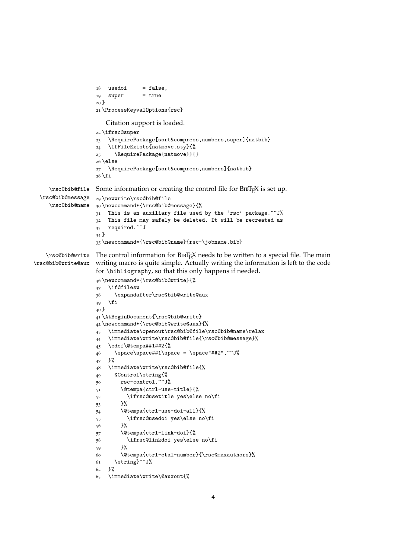```
18 usedoi = false,
                   19 super = true
                   20 }
                   21 \ProcessKeyvalOptions{rsc}
                      Citation support is loaded.
                   22 \ifrsc@super
                   23 \RequirePackage[sort&compress,numbers,super]{natbib}
                   24 \IfFileExists{natmove.sty}{%
                   25 \RequirePackage{natmove}}{}
                   26 \else
                   27 \RequirePackage[sort&compress,numbers]{natbib}
                   28 \fi
    \rsc@bib@file
 \rsc@bib@message
    \rsc@bib@name
                   Some information or creating the control file for BIBT<sub>F</sub>X is set up.
                   29 \newwrite\rsc@bib@file
                   30 \newcommand*{\rsc@bib@message}{%
                   31 This is an auxiliary file used by the 'rsc' package.^^J%
                   32 This file may safely be deleted. It will be recreated as
                   33 required.^^J
                   34 }
                   35 \newcommand*{\rsc@bib@name}{rsc-\jobname.bib}
   \rsc@bib@write The control information for BIBT<sub>E</sub>X needs to be written to a special file. The main
\rsc@bib@write@aux
writing macro is quite simple. Actually writing the information is left to the code
                   for \bibliography, so that this only happens if needed.
                   36 \newcommand*{\rsc@bib@write}{%
                   37 \if@filesw
                   38 \expandafter\rsc@bib@write@aux
                   39 \fi
                   40 }
                   41 \AtBeginDocument{\rsc@bib@write}
                   42 \newcommand*{\rsc@bib@write@aux}{%
                   43 \immediate\openout\rsc@bib@file\rsc@bib@name\relax
                   44 \immediate\write\rsc@bib@file{\rsc@bib@message}%
                   45 \edef\@tempa##1##2{%
                   46 \space\space##1\space = \space"##2", ^^J%
                   47 }%
                   48 \immediate\write\rsc@bib@file{%
                   49 @Control\string{%
                   50 rsc-control,^^J%
                   51 \@tempa{ctrl-use-title}{%
                   52 \ifrsc@usetitle yes\else no\fi
                   53 }%
                   54 \@tempa{ctrl-use-doi-all}{%
                   55 \ifrsc@usedoi yes\else no\fi
                   56 }%
                   57 \@tempa{ctrl-link-doi}{%
                   58 \ifrsc@linkdoi yes\else no\fi
                   59 }%
                   60 \@tempa{ctrl-etal-number}{\rsc@maxauthors}%
                   61 \string}^^J%
                   62 + 1%63 \immediate\write\@auxout{%
```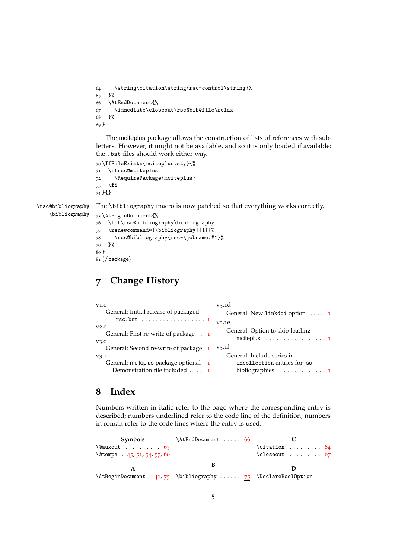```
64 \string\citation\string{rsc-control\string}%
65 }%
66 \AtEndDocument{%
67 \immediate\closeout\rsc@bib@file\relax
68 }%
69 }
```
The mciteplus package allows the construction of lists of references with subletters. However, it might not be available, and so it is only loaded if available: the .bst files should work either way.

```
70 \IfFileExists{mciteplus.sty}{%
71 \ifrsc@mciteplus
72 \RequirePackage{mciteplus}
73 \fi
74 }{}
```
<span id="page-4-14"></span><span id="page-4-4"></span>\rsc@bibliography \bibliography The \bibliography macro is now patched so that everything works correctly.

<span id="page-4-12"></span><span id="page-4-11"></span><span id="page-4-10"></span><span id="page-4-2"></span>75 \AtBeginDocument{% 76 \let\rsc@bibliography\bibliography 77 \renewcommand\*{\bibliography}[1]{% 78 \rsc@bibliography{rsc-\jobname,#1}% 79 }% 80 }  $81 \langle / \text{package} \rangle$ 

# <span id="page-4-0"></span>**7 Change History**

| V <sub>1.0</sub>                                       | V3.1d                                                                              |
|--------------------------------------------------------|------------------------------------------------------------------------------------|
| General: Initial release of packaged                   | General: New linkdoi option  1                                                     |
|                                                        | V3.1e                                                                              |
| V2.0<br>General: First re-write of package . 1<br>V3.0 | General: Option to skip loading<br>mciteplus $\dots\dots\dots\dots\dots\dots\dots$ |
| General: Second re-write of package 1                  | V3.1f                                                                              |
| V3.1                                                   | General: Include series in                                                         |
| General: mciteplus package optional 1                  | incollection entries for rsc                                                       |
| Demonstration file included $\ldots$ 1                 |                                                                                    |

## <span id="page-4-1"></span>**8 Index**

Numbers written in italic refer to the page where the corresponding entry is described; numbers underlined refer to the code line of the definition; numbers in roman refer to the code lines where the entry is used.

**Symbols** \@auxout . . . . . . . . . . [63](#page-3-0) \@tempa . [45](#page-3-1), [51](#page-3-2), [54](#page-3-3), [57](#page-3-4), [60](#page-3-5) **A** \AtBeginDocument [41](#page-3-6),[75](#page-4-4) \bibliography ...... 75 \DeclareBoolOption \AtEndDocument ..... [66](#page-4-3) **B C**  $\text{citation} \dots \dots \quad 64$  $\text{citation} \dots \dots \quad 64$  $\text{closeout} \dots \dots \quad 67$  $\text{closeout} \dots \dots \quad 67$ **D**